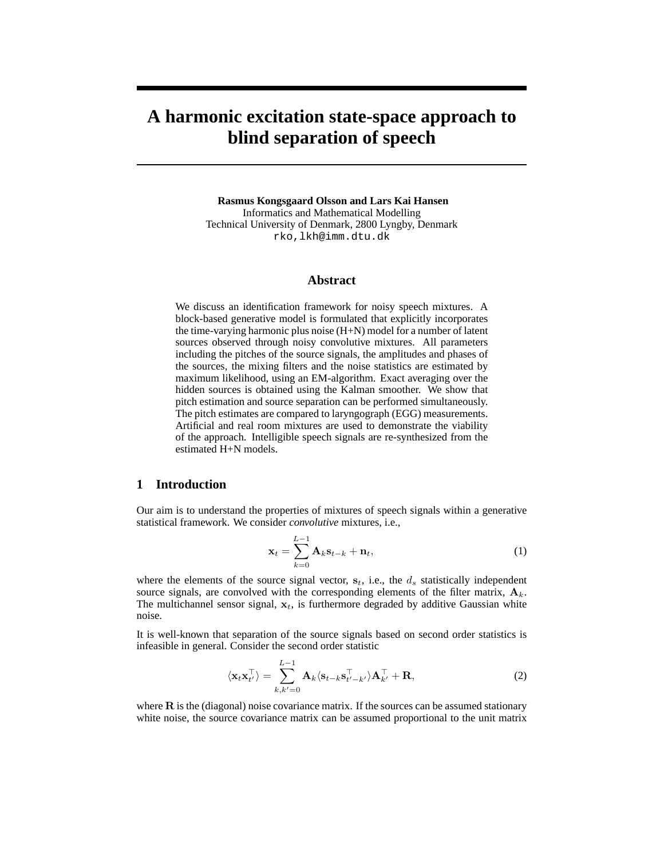# **A harmonic excitation state-space approach to blind separation of speech**

**Rasmus Kongsgaard Olsson and Lars Kai Hansen** Informatics and Mathematical Modelling Technical University of Denmark, 2800 Lyngby, Denmark rko,lkh@imm.dtu.dk

#### **Abstract**

We discuss an identification framework for noisy speech mixtures. A block-based generative model is formulated that explicitly incorporates the time-varying harmonic plus noise (H+N) model for a number of latent sources observed through noisy convolutive mixtures. All parameters including the pitches of the source signals, the amplitudes and phases of the sources, the mixing filters and the noise statistics are estimated by maximum likelihood, using an EM-algorithm. Exact averaging over the hidden sources is obtained using the Kalman smoother. We show that pitch estimation and source separation can be performed simultaneously. The pitch estimates are compared to laryngograph (EGG) measurements. Artificial and real room mixtures are used to demonstrate the viability of the approach. Intelligible speech signals are re-synthesized from the estimated H+N models.

# **1 Introduction**

Our aim is to understand the properties of mixtures of speech signals within a generative statistical framework. We consider *convolutive* mixtures, i.e.,

$$
\mathbf{x}_t = \sum_{k=0}^{L-1} \mathbf{A}_k \mathbf{s}_{t-k} + \mathbf{n}_t,
$$
\n(1)

where the elements of the source signal vector,  $s_t$ , i.e., the  $d_s$  statistically independent source signals, are convolved with the corresponding elements of the filter matrix,  $A_k$ . The multichannel sensor signal,  $x_t$ , is furthermore degraded by additive Gaussian white noise.

It is well-known that separation of the source signals based on second order statistics is infeasible in general. Consider the second order statistic

$$
\langle \mathbf{x}_t \mathbf{x}_{t'}^{\top} \rangle = \sum_{k,k'=0}^{L-1} \mathbf{A}_k \langle \mathbf{s}_{t-k} \mathbf{s}_{t'-k'}^{\top} \rangle \mathbf{A}_{k'}^{\top} + \mathbf{R},
$$
 (2)

where  $\bf{R}$  is the (diagonal) noise covariance matrix. If the sources can be assumed stationary white noise, the source covariance matrix can be assumed proportional to the unit matrix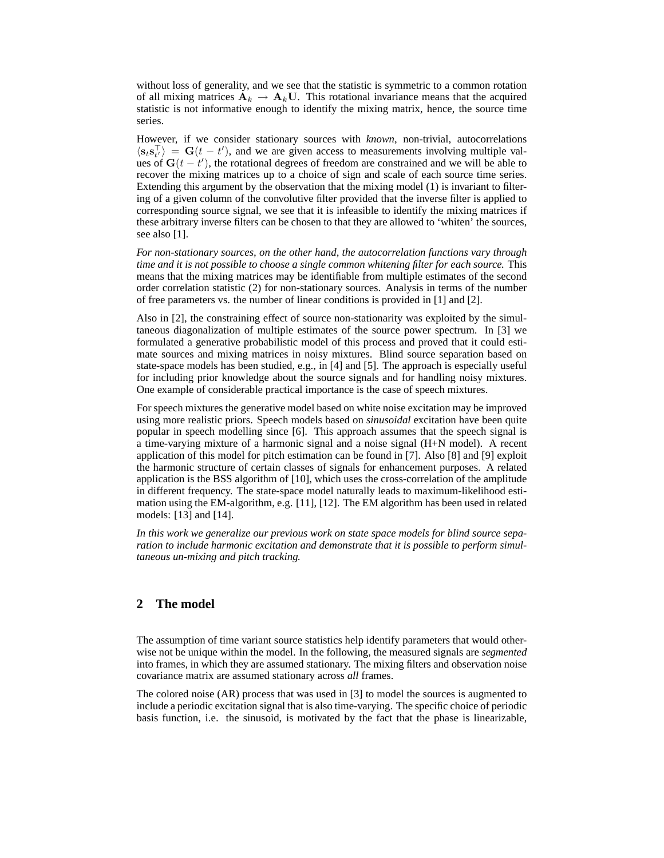without loss of generality, and we see that the statistic is symmetric to a common rotation of all mixing matrices  $A_k \rightarrow A_k U$ . This rotational invariance means that the acquired statistic is not informative enough to identify the mixing matrix, hence, the source time series.

However, if we consider stationary sources with *known*, non-trivial, autocorrelations  $\langle s_t s_{t'}^{\top} \rangle = G(t - t')$ , and we are given access to measurements involving multiple values of  $G(t - t')$ , the rotational degrees of freedom are constrained and we will be able to recover the mixing matrices up to a choice of sign and scale of each source time series. Extending this argument by the observation that the mixing model (1) is invariant to filtering of a given column of the convolutive filter provided that the inverse filter is applied to corresponding source signal, we see that it is infeasible to identify the mixing matrices if these arbitrary inverse filters can be chosen to that they are allowed to 'whiten' the sources, see also [1].

*For non-stationary sources, on the other hand, the autocorrelation functions vary through time and it is not possible to choose a single common whitening filter for each source.* This means that the mixing matrices may be identifiable from multiple estimates of the second order correlation statistic (2) for non-stationary sources. Analysis in terms of the number of free parameters vs. the number of linear conditions is provided in [1] and [2].

Also in [2], the constraining effect of source non-stationarity was exploited by the simultaneous diagonalization of multiple estimates of the source power spectrum. In [3] we formulated a generative probabilistic model of this process and proved that it could estimate sources and mixing matrices in noisy mixtures. Blind source separation based on state-space models has been studied, e.g., in [4] and [5]. The approach is especially useful for including prior knowledge about the source signals and for handling noisy mixtures. One example of considerable practical importance is the case of speech mixtures.

For speech mixtures the generative model based on white noise excitation may be improved using more realistic priors. Speech models based on *sinusoidal* excitation have been quite popular in speech modelling since [6]. This approach assumes that the speech signal is a time-varying mixture of a harmonic signal and a noise signal (H+N model). A recent application of this model for pitch estimation can be found in [7]. Also [8] and [9] exploit the harmonic structure of certain classes of signals for enhancement purposes. A related application is the BSS algorithm of [10], which uses the cross-correlation of the amplitude in different frequency. The state-space model naturally leads to maximum-likelihood estimation using the EM-algorithm, e.g. [11], [12]. The EM algorithm has been used in related models: [13] and [14].

*In this work we generalize our previous work on state space models for blind source separation to include harmonic excitation and demonstrate that it is possible to perform simultaneous un-mixing and pitch tracking.*

# **2 The model**

The assumption of time variant source statistics help identify parameters that would otherwise not be unique within the model. In the following, the measured signals are *segmented* into frames, in which they are assumed stationary. The mixing filters and observation noise covariance matrix are assumed stationary across *all* frames.

The colored noise (AR) process that was used in [3] to model the sources is augmented to include a periodic excitation signal that is also time-varying. The specific choice of periodic basis function, i.e. the sinusoid, is motivated by the fact that the phase is linearizable,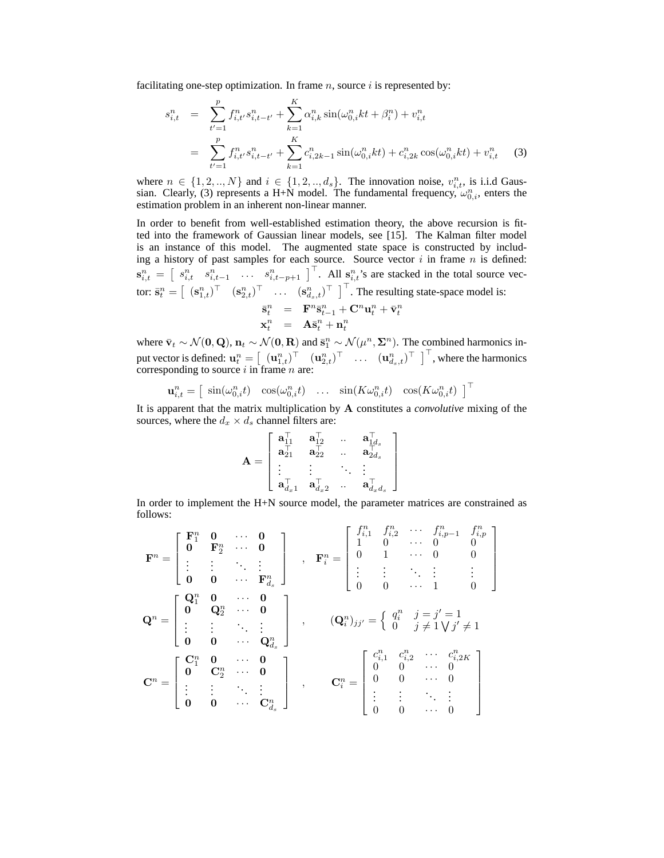facilitating one-step optimization. In frame  $n$ , source i is represented by:

$$
s_{i,t}^n = \sum_{t'=1}^p f_{i,t'}^n s_{i,t-t'}^n + \sum_{k=1}^K \alpha_{i,k}^n \sin(\omega_{0,i}^n kt + \beta_i^n) + v_{i,t}^n
$$
  

$$
= \sum_{t'=1}^p f_{i,t'}^n s_{i,t-t'}^n + \sum_{k=1}^K c_{i,2k-1}^n \sin(\omega_{0,i}^n kt) + c_{i,2k}^n \cos(\omega_{0,i}^n kt) + v_{i,t}^n \tag{3}
$$

where  $n \in \{1, 2, ..., N\}$  and  $i \in \{1, 2, ..., d_s\}$ . The innovation noise,  $v_{i,t}^n$ , is i.i.d Gaussian. Clearly, (3) represents a H+N model. The fundamental frequency,  $\omega_{0,i}^n$ , enters the estimation problem in an inherent non-linear manner.

In order to benefit from well-established estimation theory, the above recursion is fitted into the framework of Gaussian linear models, see [15]. The Kalman filter model is an instance of this model. The augmented state space is constructed by including a history of past samples for each source. Source vector  $i$  in frame  $n$  is defined:  $\mathbf{s}_{i,t}^n =$ Examples for each source. Source vector  $i$  in Hallie  $n$  is defined.<br> $\begin{bmatrix} s_{i,t}^n & s_{i,t-1}^n & \cdots & s_{i,t-p+1}^n \end{bmatrix}^\top$ . All  $s_{i,t}^n$ 's are stacked in the total source vector:  $\bar{\mathbf{s}}_t^n =$  $\begin{bmatrix} (\mathbf{s}_{1,t}^n)^\top & (\mathbf{s}_{2,t}^n)^\top & \cdots & (\mathbf{s}_{d_s,t}^n)^\top \end{bmatrix}^\top$ . The resulting state-space model is:  $\bar{\mathbf{s}}_t^n$  =  $\mathbf{F}^n \bar{\mathbf{s}}_{t-1}^n + \mathbf{C}^n \mathbf{u}_t^n + \bar{\mathbf{v}}_t^n$  $\mathbf{x}_t^n = \mathbf{A}\bar{\mathbf{s}}_t^n + \mathbf{n}_t^n$ 

where  $\bar{\mathbf{v}}_t \sim \mathcal{N}(\mathbf{0}, \mathbf{Q})$ ,  $\mathbf{n}_t \sim \mathcal{N}(\mathbf{0}, \mathbf{R})$  and  $\bar{\mathbf{s}}_1^n \sim \mathcal{N}(\mu^n, \Sigma^n)$ . The combined harmonics input vector is defined:  $\mathbf{u}_t^n =$  $\left[ \begin{array}{cc} (\mathbf{u}_{1,t}^n)^\top & (\mathbf{u}_{2,t}^n)^\top \end{array} \right]^\top$ ...  $(\mathbf{u}_{a_s,t}^n)^\top$ , where the harmonics corresponding to source  $i$  in frame  $n$  are:

$$
\mathbf{u}_{i,t}^n = \begin{bmatrix} \sin(\omega_{0,i}^n t) & \cos(\omega_{0,i}^n t) & \dots & \sin(K\omega_{0,i}^n t) & \cos(K\omega_{0,i}^n t) \end{bmatrix}^\top
$$

It is apparent that the matrix multiplication by A constitutes a *convolutive* mixing of the sources, where the  $d_x \times d_s$  channel filters are:  $\overline{a}$ 

$$
\mathbf{A} = \left[ \begin{array}{cccc} \mathbf{a}_{11}^\top & \mathbf{a}_{12}^\top & \ldots & \mathbf{a}_{1d_s}^\top \\ \mathbf{a}_{21}^\top & \mathbf{a}_{22}^\top & \ldots & \mathbf{a}_{2d_s}^\top \\ \vdots & \vdots & \ddots & \vdots \\ \mathbf{a}_{d_x1}^\top & \mathbf{a}_{d_x2}^\top & \ldots & \mathbf{a}_{d_xd_s}^\top \end{array} \right]
$$

In order to implement the H+N source model, the parameter matrices are constrained as follows:  $\overline{a}$  $\overline{a}$ 

$$
\mathbf{F}^{n} = \begin{bmatrix} \mathbf{F}_{1}^{n} & \mathbf{0} & \cdots & \mathbf{0} \\ \mathbf{0} & \mathbf{F}_{2}^{n} & \cdots & \mathbf{0} \\ \vdots & \vdots & \ddots & \vdots \\ \mathbf{0} & \mathbf{0} & \cdots & \mathbf{F}_{d_{s}}^{n} \end{bmatrix} , \quad \mathbf{F}_{i}^{n} = \begin{bmatrix} f_{i,1}^{n} & f_{i,2}^{n} & \cdots & f_{i,p-1}^{n} & f_{i,p}^{n} \\ 1 & 0 & \cdots & 0 & 0 \\ 0 & 1 & \cdots & 0 & 0 \\ \vdots & \vdots & \ddots & \vdots & \vdots \\ 0 & 0 & \cdots & 1 & 0 \end{bmatrix}
$$

$$
\mathbf{Q}^{n} = \begin{bmatrix} \mathbf{Q}_{1}^{n} & \mathbf{0} & \cdots & \mathbf{0} \\ \mathbf{0} & \mathbf{Q}_{2}^{n} & \cdots & \mathbf{0} \\ \vdots & \vdots & \ddots & \vdots \\ \mathbf{0} & \mathbf{0} & \cdots & \mathbf{Q}_{d_{s}}^{n} \end{bmatrix} , \qquad (\mathbf{Q}_{i}^{n})_{jj'} = \begin{Bmatrix} q_{i}^{n} & j = j' = 1 \\ 0 & j \neq 1 \forall j' \neq 1 \\ 0 & j' \neq 1 \forall j' \neq 1 \end{Bmatrix}
$$

$$
\mathbf{C}^{n} = \begin{bmatrix} \mathbf{C}_{1}^{n} & \mathbf{0} & \cdots & \mathbf{0} \\ \mathbf{0} & \mathbf{C}_{2}^{n} & \cdots & \mathbf{0} \\ \vdots & \vdots & \ddots & \vdots \\ \mathbf{0} & \mathbf{0} & \cdots & \mathbf{C}_{d_{s}}^{n} \end{bmatrix} , \qquad \mathbf{C}_{i}^{n} = \begin{bmatrix} c_{i,1}^{n} & c_{i,2}^{n} & \cdots & c_{i,2K}^{n} \\ 0 & 0 & \cdots & 0 \\ \vdots & \vdots & \ddots & \vdots \\ 0 & 0 & \cdots & 0 \end{bmatrix}
$$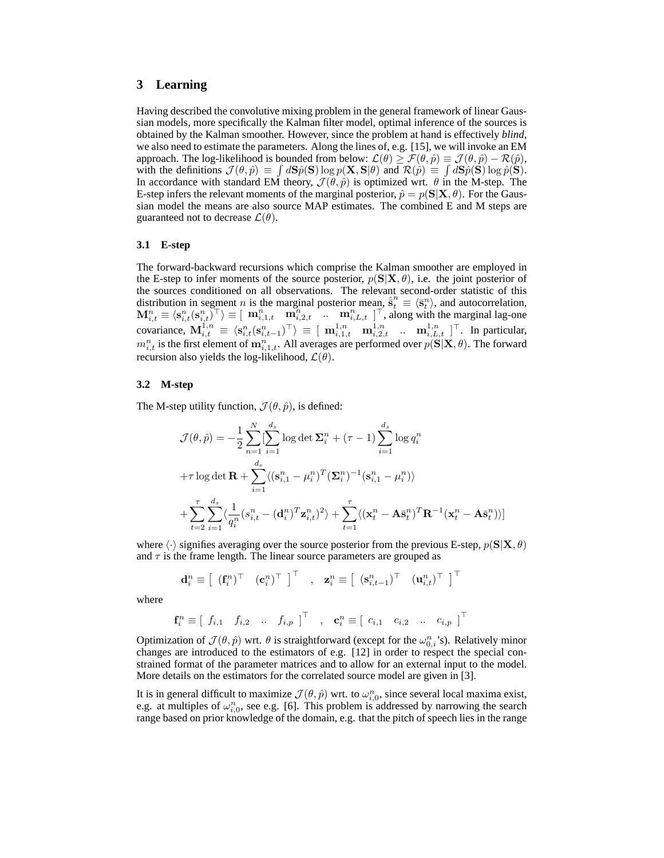## **3 Learning**

Having described the convolutive mixing problem in the general framework of linear Gaussian models, more specifically the Kalman filter model, optimal inference of the sources is obtained by the Kalman smoother. However, since the problem at hand is effectively *blind*, we also need to estimate the parameters. Along the lines of, e.g. [15], we will invoke an EM approach. The log-likelihood is bounded from below:  $\mathcal{L}(\theta) \ge \mathcal{F}(\theta, \hat{p}) = \mathcal{J}(\theta, \hat{p}) - \mathcal{R}(\hat{p}),$ with the definitions  $\mathcal{J}(\theta, \hat{p}) \equiv \int d\mathbf{S}\hat{p}(\mathbf{S}) \log p(\mathbf{X}, \mathbf{S}|\theta)$  and  $\mathcal{R}(\hat{p}) \equiv \int d\mathbf{S}\hat{p}(\mathbf{S}) \log \hat{p}(\mathbf{S})$ . In accordance with standard EM theory,  $\mathcal{J}(\theta, \hat{p})$  is optimized wrt.  $\theta$  in the M-step. The E-step infers the relevant moments of the marginal posterior,  $\hat{p} = p(S|X, \theta)$ . For the Gaussian model the means are also source MAP estimates. The combined E and M steps are guaranteed not to decrease  $\mathcal{L}(\theta)$ .

#### **3.1 E-step**

The forward-backward recursions which comprise the Kalman smoother are employed in the E-step to infer moments of the source posterior,  $p(S|X, \theta)$ , i.e. the joint posterior of the sources conditioned on all observations. The relevant second-order statistic of this distribution in segment *n* is the marginal posterior mean,  $\hat{\vec{s}}_t^n \equiv \langle \vec{s}_t^n \rangle$ , and autocorrelation,  $\mathbf{M}_{i,t}^n \equiv \langle \mathbf{s}_{i,t}^n(\mathbf{s}_{i,t}^n)^{\top} \rangle \equiv [ \mathbf{m}_{i,1,t}^n \mathbf{m}_{i,2,t}^n^{\top} \dots \mathbf{m}_{i,L,t}^n ]^{\top}$ , along with the marginal lag-one covariance,  $\mathbf{M}_{i,t}^{1,n} \equiv \langle \mathbf{s}_{i,t}^n(\mathbf{s}_{i,t-1}^n)^\top \rangle \equiv [\mathbf{m}_{i,1,t}^{1,n} \mathbf{m}_{i,2,t}^{1,n} \dots \mathbf{m}_{i,L,t}^{1,n}]^\top$ . In particular,  $m_{i,t}^n$  is the first element of  $m_{i,1,t}^n$ . All averages are performed over  $p(S|X, \theta)$ . The forward recursion also yields the log-likelihood,  $\mathcal{L}(\theta)$ .

#### **3.2 M-step**

The M-step utility function,  $\mathcal{J}(\theta, \hat{p})$ , is defined:

$$
\mathcal{J}(\theta, \hat{p}) = -\frac{1}{2} \sum_{n=1}^{N} \left[ \sum_{i=1}^{d_s} \log \det \Sigma_i^n + (\tau - 1) \sum_{i=1}^{d_s} \log q_i^n \right. \n+ \tau \log \det \mathbf{R} + \sum_{i=1}^{d_s} \langle (\mathbf{s}_{i,1}^n - \mu_i^n)^T (\Sigma_i^n)^{-1} (\mathbf{s}_{i,1}^n - \mu_i^n) \rangle \n+ \sum_{t=2}^{T} \sum_{i=1}^{d_s} \langle \frac{1}{q_i^n} (s_{i,t}^n - (\mathbf{d}_i^n)^T \mathbf{z}_{i,t}^n)^2 \rangle + \sum_{t=1}^{T} \langle (\mathbf{x}_t^n - \mathbf{A} \bar{\mathbf{s}}_t^n)^T \mathbf{R}^{-1} (\mathbf{x}_t^n - \mathbf{A} \bar{\mathbf{s}}_t^n) \rangle \right]
$$

where  $\langle \cdot \rangle$  signifies averaging over the source posterior from the previous E-step,  $p(S|X, \theta)$ and  $\tau$  is the frame length. The linear source parameters are grouped as

$$
\mathbf{d}_{i}^{n} \equiv \left[ \begin{array}{cc} (\mathbf{f}_{i}^{n})^{\top} & (\mathbf{c}_{i}^{n})^{\top} \end{array} \right]^{\top} , \quad \mathbf{z}_{i}^{n} \equiv \left[ \begin{array}{cc} (\mathbf{s}_{i,t-1}^{n})^{\top} & (\mathbf{u}_{i,t}^{n})^{\top} \end{array} \right]^{\top}
$$

where

$$
\mathbf{f}_i^n \equiv \left[ \begin{array}{cccc} f_{i,1} & f_{i,2} & \dots & f_{i,p} \end{array} \right]^\top , \mathbf{c}_i^n \equiv \left[ \begin{array}{cccc} c_{i,1} & c_{i,2} & \dots & c_{i,p} \end{array} \right]^\top
$$

Optimization of  $\mathcal{J}(\theta, \hat{p})$  wrt.  $\theta$  is straightforward (except for the  $\omega_{0,i}^n$ 's). Relatively minor changes are introduced to the estimators of e.g. [12] in order to respect the special constrained format of the parameter matrices and to allow for an external input to the model. More details on the estimators for the correlated source model are given in [3].

It is in general difficult to maximize  $\mathcal{J}(\theta,\hat{p})$  wrt. to  $\omega_{i,0}^n$ , since several local maxima exist, e.g. at multiples of  $\omega_{i,0}^n$ , see e.g. [6]. This problem is addressed by narrowing the search range based on prior knowledge of the domain, e.g. that the pitch of speech lies in the range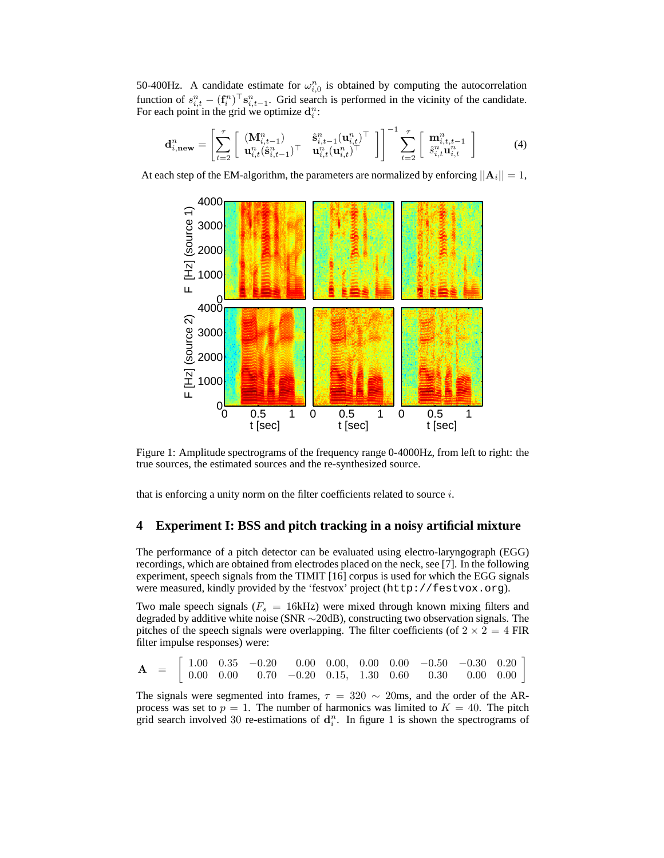50-400Hz. A candidate estimate for  $\omega_{i,0}^n$  is obtained by computing the autocorrelation function of  $s_{i,t}^n - (\mathbf{f}_i^n)^\top \mathbf{s}_{i,t-1}^n$ . Grid search is performed in the vicinity of the candidate. For each point in the grid we optimize  $\mathbf{d}_i^n$ :

$$
\mathbf{d}_{i,\text{new}}^n = \left[ \sum_{t=2}^{\tau} \left[ \begin{array}{cc} (\mathbf{M}_{i,t-1}^n) & \hat{\mathbf{s}}_{i,t-1}^n (\mathbf{u}_{i,t}^n)^{\top} \\ \mathbf{u}_{i,t}^n (\hat{\mathbf{s}}_{i,t-1}^n)^{\top} & \mathbf{u}_{i,t}^n (\mathbf{u}_{i,t}^n)^{\top} \end{array} \right] \right]^{-1} \sum_{t=2}^{\tau} \left[ \begin{array}{c} \mathbf{m}_{i,t,t-1}^n \\ \hat{s}_{i,t}^n \mathbf{u}_{i,t}^n \end{array} \right] \tag{4}
$$

At each step of the EM-algorithm, the parameters are normalized by enforcing  $||\mathbf{A}_i|| = 1$ ,



Figure 1: Amplitude spectrograms of the frequency range 0-4000Hz, from left to right: the true sources, the estimated sources and the re-synthesized source.

that is enforcing a unity norm on the filter coefficients related to source i.

#### **4 Experiment I: BSS and pitch tracking in a noisy artificial mixture**

The performance of a pitch detector can be evaluated using electro-laryngograph (EGG) recordings, which are obtained from electrodes placed on the neck, see [7]. In the following experiment, speech signals from the TIMIT [16] corpus is used for which the EGG signals were measured, kindly provided by the 'festvox' project (http://festvox.org).

Two male speech signals ( $F_s = 16$ kHz) were mixed through known mixing filters and degraded by additive white noise (SNR ∼20dB), constructing two observation signals. The pitches of the speech signals were overlapping. The filter coefficients (of  $2 \times 2 = 4$  FIR filter impulse responses) were:

$$
\mathbf{A} = \left[ \begin{array}{cccccc} 1.00 & 0.35 & -0.20 & 0.00 & 0.00, & 0.00 & 0.00 & -0.50 & -0.30 & 0.20 \\ 0.00 & 0.00 & 0.70 & -0.20 & 0.15, & 1.30 & 0.60 & 0.30 & 0.00 & 0.00 \end{array} \right]
$$

The signals were segmented into frames,  $\tau = 320 \sim 20$ ms, and the order of the ARprocess was set to  $p = 1$ . The number of harmonics was limited to  $K = 40$ . The pitch grid search involved 30 re-estimations of  $\mathbf{d}_i^n$ . In figure 1 is shown the spectrograms of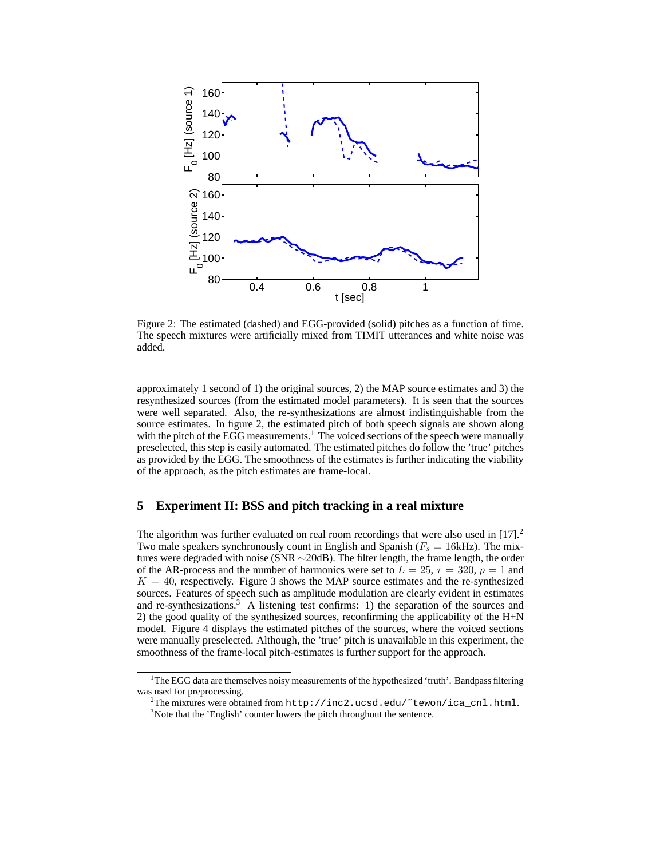

Figure 2: The estimated (dashed) and EGG-provided (solid) pitches as a function of time. The speech mixtures were artificially mixed from TIMIT utterances and white noise was added.

approximately 1 second of 1) the original sources, 2) the MAP source estimates and 3) the resynthesized sources (from the estimated model parameters). It is seen that the sources were well separated. Also, the re-synthesizations are almost indistinguishable from the source estimates. In figure 2, the estimated pitch of both speech signals are shown along with the pitch of the EGG measurements.<sup>1</sup> The voiced sections of the speech were manually preselected, this step is easily automated. The estimated pitches do follow the 'true' pitches as provided by the EGG. The smoothness of the estimates is further indicating the viability of the approach, as the pitch estimates are frame-local.

## **5 Experiment II: BSS and pitch tracking in a real mixture**

The algorithm was further evaluated on real room recordings that were also used in  $[17]$ .<sup>2</sup> Two male speakers synchronously count in English and Spanish  $(F_s = 16kHz)$ . The mixtures were degraded with noise (SNR ∼20dB). The filter length, the frame length, the order of the AR-process and the number of harmonics were set to  $L = 25$ ,  $\tau = 320$ ,  $p = 1$  and  $K = 40$ , respectively. Figure 3 shows the MAP source estimates and the re-synthesized sources. Features of speech such as amplitude modulation are clearly evident in estimates and re-synthesizations.<sup>3</sup> A listening test confirms: 1) the separation of the sources and 2) the good quality of the synthesized sources, reconfirming the applicability of the  $H+N$ model. Figure 4 displays the estimated pitches of the sources, where the voiced sections were manually preselected. Although, the 'true' pitch is unavailable in this experiment, the smoothness of the frame-local pitch-estimates is further support for the approach.

<sup>&</sup>lt;sup>1</sup>The EGG data are themselves noisy measurements of the hypothesized 'truth'. Bandpass filtering was used for preprocessing.

<sup>&</sup>lt;sup>2</sup>The mixtures were obtained from http://inc2.ucsd.edu/~tewon/ica\_cnl.html. <sup>3</sup>Note that the 'English' counter lowers the pitch throughout the sentence.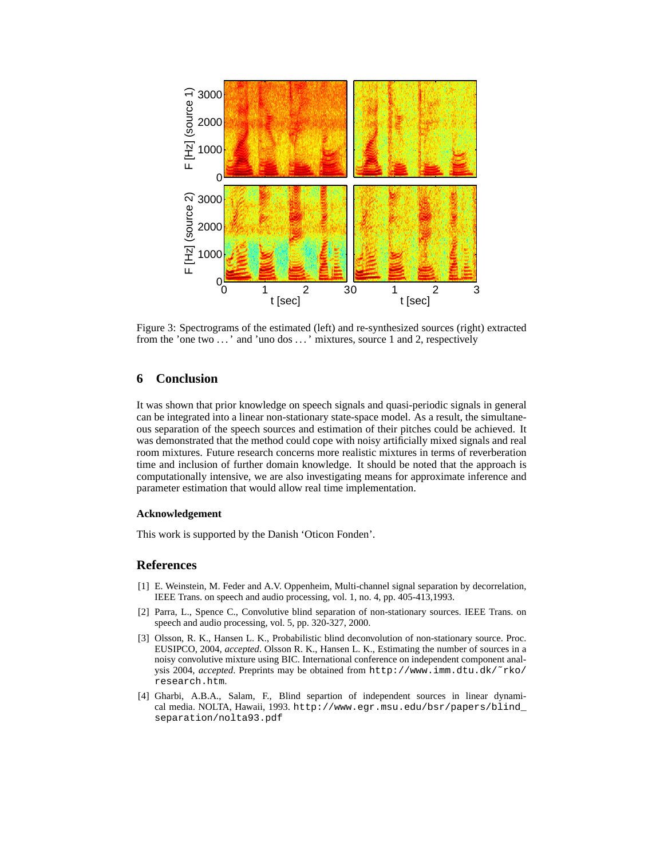

Figure 3: Spectrograms of the estimated (left) and re-synthesized sources (right) extracted from the 'one two ...' and 'uno dos ...' mixtures, source 1 and 2, respectively

# **6 Conclusion**

It was shown that prior knowledge on speech signals and quasi-periodic signals in general can be integrated into a linear non-stationary state-space model. As a result, the simultaneous separation of the speech sources and estimation of their pitches could be achieved. It was demonstrated that the method could cope with noisy artificially mixed signals and real room mixtures. Future research concerns more realistic mixtures in terms of reverberation time and inclusion of further domain knowledge. It should be noted that the approach is computationally intensive, we are also investigating means for approximate inference and parameter estimation that would allow real time implementation.

#### **Acknowledgement**

This work is supported by the Danish 'Oticon Fonden'.

## **References**

- [1] E. Weinstein, M. Feder and A.V. Oppenheim, Multi-channel signal separation by decorrelation, IEEE Trans. on speech and audio processing, vol. 1, no. 4, pp. 405-413,1993.
- [2] Parra, L., Spence C., Convolutive blind separation of non-stationary sources. IEEE Trans. on speech and audio processing, vol. 5, pp. 320-327, 2000.
- [3] Olsson, R. K., Hansen L. K., Probabilistic blind deconvolution of non-stationary source. Proc. EUSIPCO, 2004, *accepted*. Olsson R. K., Hansen L. K., Estimating the number of sources in a noisy convolutive mixture using BIC. International conference on independent component analysis 2004, *accepted*. Preprints may be obtained from http://www.imm.dtu.dk/˜rko/ research.htm.
- [4] Gharbi, A.B.A., Salam, F., Blind separtion of independent sources in linear dynamical media. NOLTA, Hawaii, 1993. http://www.egr.msu.edu/bsr/papers/blind\_ separation/nolta93.pdf